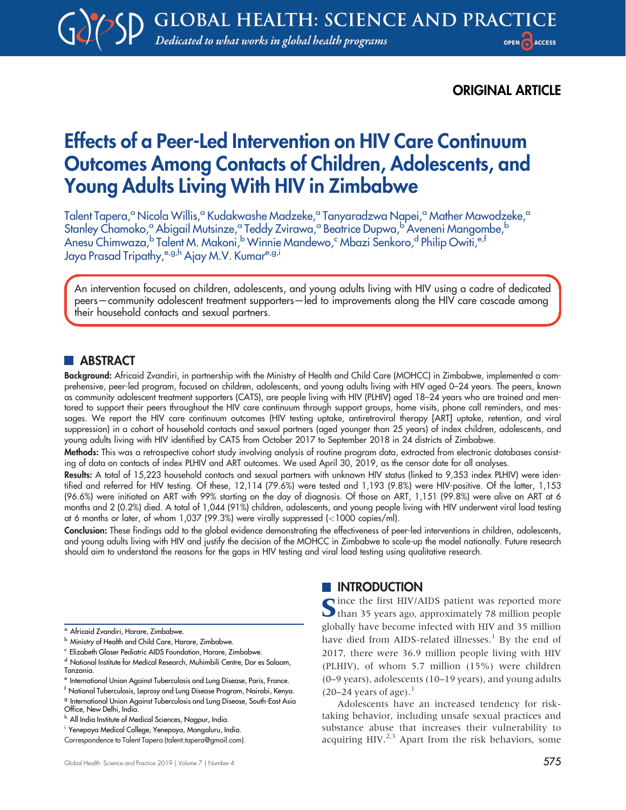## ORIGINAL ARTICLE

# Effects of a Peer-Led Intervention on HIV Care Continuum Outcomes Among Contacts of Children, Adolescents, and Young Adults Living With HIV in Zimbabwe

Talent Tapera,<sup>a</sup> Nicola Willis,<sup>a</sup> Kudakwashe Madzeke,<sup>a</sup> Tanyaradzwa Napei,<sup>a</sup> Mather Mawodzeke,<sup>a</sup> Stanley Chamoko,<sup>a</sup> Abigail Mutsinze,<sup>a</sup> Teddy Zvirawa,<sup>a</sup> Beatrice Dupwa,<sup>b</sup> Aveneni Mangombe,<sup>b</sup> Anesu Chimwaza,<sup>b</sup> Talent M. Makoni,<sup>b</sup> Winnie Mandewo,<sup>c</sup> Mbazi Senkoro,<sup>d</sup> Philip Owiti,<sup>e,f</sup> Jaya Prasad Tripathy, e,g,h Ajay M.V. Kumar<sup>e,g,i</sup>

An intervention focused on children, adolescents, and young adults living with HIV using a cadre of dedicated peers—community adolescent treatment supporters—led to improvements along the HIV care cascade among their household contacts and sexual partners.

## **ABSTRACT**

Background: Africaid Zvandiri, in partnership with the Ministry of Health and Child Care (MOHCC) in Zimbabwe, implemented a comprehensive, peer-led program, focused on children, adolescents, and young adults living with HIV aged 0–24 years. The peers, known as community adolescent treatment supporters (CATS), are people living with HIV (PLHIV) aged 18–24 years who are trained and mentored to support their peers throughout the HIV care continuum through support groups, home visits, phone call reminders, and messages. We report the HIV care continuum outcomes (HIV testing uptake, antiretroviral therapy [ART] uptake, retention, and viral suppression) in a cohort of household contacts and sexual partners (aged younger than 25 years) of index children, adolescents, and young adults living with HIV identified by CATS from October 2017 to September 2018 in 24 districts of Zimbabwe.

Methods: This was a retrospective cohort study involving analysis of routine program data, extracted from electronic databases consisting of data on contacts of index PLHIV and ART outcomes. We used April 30, 2019, as the censor date for all analyses.

Results: A total of 15,223 household contacts and sexual partners with unknown HIV status (linked to 9,353 index PLHIV) were identified and referred for HIV testing. Of these, 12,114 (79.6%) were tested and 1,193 (9.8%) were HIV-positive. Of the latter, 1,153 (96.6%) were initiated on ART with 99% starting on the day of diagnosis. Of those on ART, 1,151 (99.8%) were alive on ART at 6 months and 2 (0.2%) died. A total of 1,044 (91%) children, adolescents, and young people living with HIV underwent viral load testing at 6 months or later, of whom 1,037 (99.3%) were virally suppressed (<1000 copies/ml).

Conclusion: These findings add to the global evidence demonstrating the effectiveness of peer-led interventions in children, adolescents, and young adults living with HIV and justify the decision of the MOHCC in Zimbabwe to scale-up the model nationally. Future research should aim to understand the reasons for the gaps in HIV testing and viral load testing using qualitative research.

- <sup>a</sup> Africaid Zvandiri, Harare, Zimbabwe.
- **b** Ministry of Health and Child Care, Harare, Zimbabwe.
- <sup>c</sup> Elizabeth Glaser Pediatric AIDS Foundation, Harare, Zimbabwe.
- <sup>d</sup> National Institute for Medical Research, Muhimbili Centre, Dar es Salaam, Tanzania.

#### **INTRODUCTION**

Cince the first HIV/AIDS patient was reported more **O** than 35 years ago, approximately 78 million people globally have become infected with HIV and 35 million have died from AIDS-related illnesses.<sup>[1](#page-9-0)</sup> By the end of 2017, there were 36.9 million people living with HIV (PLHIV), of whom 5.7 million (15%) were children (0–9 years), adolescents (10–19 years), and young adults  $(20-24 \text{ years of age}).$ <sup>[1](#page-9-0)</sup>

Adolescents have an increased tendency for risktaking behavior, including unsafe sexual practices and substance abuse that increases their vulnerability to acquiring HIV.<sup>[2](#page-9-1)[,3](#page-9-2)</sup> Apart from the risk behaviors, some

<sup>&</sup>lt;sup>e</sup> International Union Against Tuberculosis and Lung Disease, Paris, France.

<sup>f</sup> National Tuberculosis, Leprosy and Lung Disease Program, Nairobi, Kenya. <sup>g</sup> International Union Against Tuberculosis and Lung Disease, South-East Asia Office, New Delhi, India.

h All India Institute of Medical Sciences, Nagpur, India.

<sup>i</sup> Yenepoya Medical College, Yenepoya, Mangaluru, India.

Correspondence to Talent Tapera ([talent.tapera@gmail.com](mailto:talent.tapera@gmail.com)).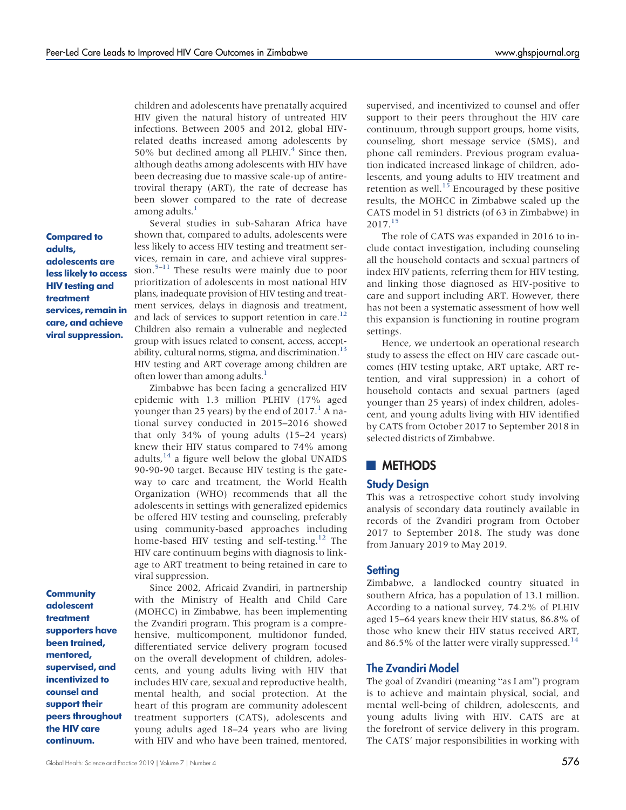children and adolescents have prenatally acquired HIV given the natural history of untreated HIV infections. Between 2005 and 2012, global HIVrelated deaths increased among adolescents by 50% but declined among all PLHIV. $4$  Since then, although deaths among adolescents with HIV have been decreasing due to massive scale-up of antiretroviral therapy (ART), the rate of decrease has been slower compared to the rate of decrease among adults.

Compared to adults, adolescents are less likely to access HIV testing and treatment services, remain in care, and achieve viral suppression.

**Community** adolescent treatment supporters have been trained, mentored, supervised, and incentivized to counsel and support their peers throughout the HIV care continuum.

Several studies in sub-Saharan Africa have shown that, compared to adults, adolescents were less likely to access HIV testing and treatment services, remain in care, and achieve viral suppres-sion.<sup>[5](#page-9-4)–[11](#page-9-5)</sup> These results were mainly due to poor prioritization of adolescents in most national HIV plans, inadequate provision of HIV testing and treatment services, delays in diagnosis and treatment, and lack of services to support retention in care.<sup>12</sup> Children also remain a vulnerable and neglected group with issues related to consent, access, acceptability, cultural norms, stigma, and discrimination. $13$ HIV testing and ART coverage among children are often lower than among adults. $<sup>1</sup>$ </sup>

Zimbabwe has been facing a generalized HIV epidemic with 1.3 million PLHIV (17% aged younger than 25 years) by the end of  $2017<sup>1</sup>$  $2017<sup>1</sup>$  $2017<sup>1</sup>$  A national survey conducted in 2015–2016 showed that only 34% of young adults (15–24 years) knew their HIV status compared to 74% among adults,  $^{14}$  $^{14}$  $^{14}$  a figure well below the global UNAIDS 90-90-90 target. Because HIV testing is the gateway to care and treatment, the World Health Organization (WHO) recommends that all the adolescents in settings with generalized epidemics be offered HIV testing and counseling, preferably using community-based approaches including home-based HIV testing and self-testing.<sup>12</sup> The HIV care continuum begins with diagnosis to linkage to ART treatment to being retained in care to viral suppression.

Since 2002, Africaid Zvandiri, in partnership with the Ministry of Health and Child Care (MOHCC) in Zimbabwe, has been implementing the Zvandiri program. This program is a comprehensive, multicomponent, multidonor funded, differentiated service delivery program focused on the overall development of children, adolescents, and young adults living with HIV that includes HIV care, sexual and reproductive health, mental health, and social protection. At the heart of this program are community adolescent treatment supporters (CATS), adolescents and young adults aged 18–24 years who are living with HIV and who have been trained, mentored, supervised, and incentivized to counsel and offer support to their peers throughout the HIV care continuum, through support groups, home visits, counseling, short message service (SMS), and phone call reminders. Previous program evaluation indicated increased linkage of children, adolescents, and young adults to HIV treatment and retention as well.<sup>15</sup> Encouraged by these positive results, the MOHCC in Zimbabwe scaled up the CATS model in 51 districts (of 63 in Zimbabwe) in 2017[.15](#page-9-9)

The role of CATS was expanded in 2016 to include contact investigation, including counseling all the household contacts and sexual partners of index HIV patients, referring them for HIV testing, and linking those diagnosed as HIV-positive to care and support including ART. However, there has not been a systematic assessment of how well this expansion is functioning in routine program settings.

Hence, we undertook an operational research study to assess the effect on HIV care cascade outcomes (HIV testing uptake, ART uptake, ART retention, and viral suppression) in a cohort of household contacts and sexual partners (aged younger than 25 years) of index children, adolescent, and young adults living with HIV identified by CATS from October 2017 to September 2018 in selected districts of Zimbabwe.

## **METHODS**

#### Study Design

This was a retrospective cohort study involving analysis of secondary data routinely available in records of the Zvandiri program from October 2017 to September 2018. The study was done from January 2019 to May 2019.

#### **Setting**

Zimbabwe, a landlocked country situated in southern Africa, has a population of 13.1 million. According to a national survey, 74.2% of PLHIV aged 15–64 years knew their HIV status, 86.8% of those who knew their HIV status received ART, and 86.5% of the latter were virally suppressed.<sup>[14](#page-9-8)</sup>

### The Zvandiri Model

The goal of Zvandiri (meaning "as I am") program is to achieve and maintain physical, social, and mental well-being of children, adolescents, and young adults living with HIV. CATS are at the forefront of service delivery in this program. The CATS' major responsibilities in working with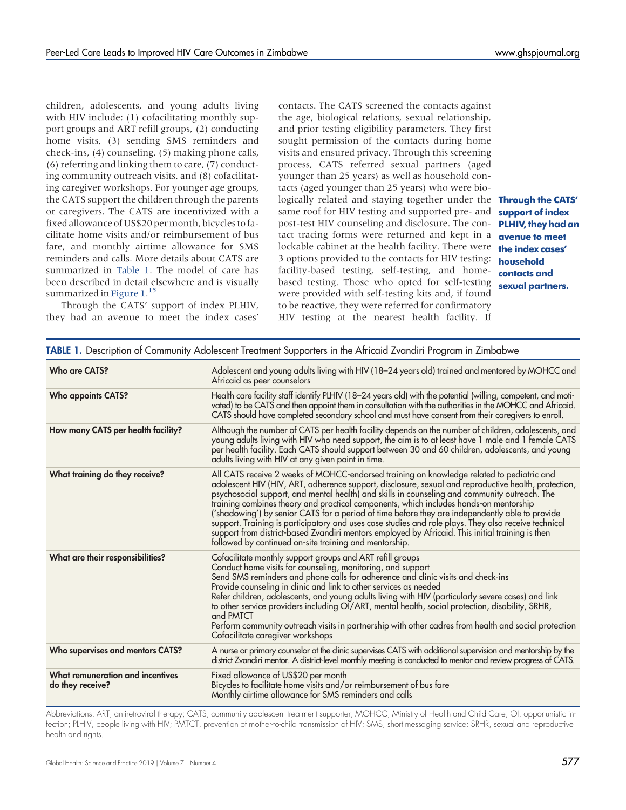children, adolescents, and young adults living with HIV include: (1) cofacilitating monthly support groups and ART refill groups, (2) conducting home visits, (3) sending SMS reminders and check-ins, (4) counseling, (5) making phone calls, (6) referring and linking them to care, (7) conducting community outreach visits, and (8) cofacilitating caregiver workshops. For younger age groups, the CATS support the children through the parents or caregivers. The CATS are incentivized with a fixed allowance of US\$20 per month, bicycles to facilitate home visits and/or reimbursement of bus fare, and monthly airtime allowance for SMS reminders and calls. More details about CATS are summarized in [Table 1](#page-2-0). The model of care has been described in detail elsewhere and is visually summarized in [Figure 1.](#page-3-0)<sup>[15](#page-9-9)</sup>

Through the CATS' support of index PLHIV, they had an avenue to meet the index cases'

contacts. The CATS screened the contacts against the age, biological relations, sexual relationship, and prior testing eligibility parameters. They first sought permission of the contacts during home visits and ensured privacy. Through this screening process, CATS referred sexual partners (aged younger than 25 years) as well as household contacts (aged younger than 25 years) who were biologically related and staying together under the **Through the CATS'** same roof for HIV testing and supported pre- and post-test HIV counseling and disclosure. The contact tracing forms were returned and kept in a lockable cabinet at the health facility. There were 3 options provided to the contacts for HIV testing: facility-based testing, self-testing, and homebased testing. Those who opted for self-testing were provided with self-testing kits and, if found to be reactive, they were referred for confirmatory HIV testing at the nearest health facility. If

support of index PLHIV, they had an avenue to meet the index cases' household contacts and sexual partners.

<span id="page-2-0"></span>

|                                                      | TABLE 1. Description of Community Adolescent Treatment Supporters in the Africaid Zvandiri Program in Zimbabwe                                                                                                                                                                                                                                                                                                                                                                                                                                                                                                                                                                                                                                                       |  |
|------------------------------------------------------|----------------------------------------------------------------------------------------------------------------------------------------------------------------------------------------------------------------------------------------------------------------------------------------------------------------------------------------------------------------------------------------------------------------------------------------------------------------------------------------------------------------------------------------------------------------------------------------------------------------------------------------------------------------------------------------------------------------------------------------------------------------------|--|
| Who are CATS?                                        | Adolescent and young adults living with HIV (18–24 years old) trained and mentored by MOHCC and<br>Africaid as peer counselors                                                                                                                                                                                                                                                                                                                                                                                                                                                                                                                                                                                                                                       |  |
| <b>Who appoints CATS?</b>                            | Health care facility staff identify PLHIV (18-24 years old) with the potential (willing, competent, and moti-<br>vated) to be CATS and then appoint them in consultation with the authorities in the MOHCC and Africaid.<br>CATS should have completed secondary school and must have consent from their caregivers to enroll.                                                                                                                                                                                                                                                                                                                                                                                                                                       |  |
| How many CATS per health facility?                   | Although the number of CATS per health facility depends on the number of children, adolescents, and<br>young adults living with HIV who need support, the aim is to at least have 1 male and 1 female CATS<br>per health facility. Each CATS should support between 30 and 60 children, adolescents, and young<br>adults living with HIV at any given point in time.                                                                                                                                                                                                                                                                                                                                                                                                 |  |
| What training do they receive?                       | All CATS receive 2 weeks of MOHCC-endorsed training on knowledge related to pediatric and<br>adolescent HIV (HIV, ART, adherence support, disclosure, sexual and reproductive health, protection,<br>psychosocial support, and mental health) and skills in counseling and community outreach. The<br>training combines theory and practical components, which includes hands-on mentorship<br>('shadowing') by senior CATS for a period of time before they are independently able to provide<br>support. Training is participatory and uses case studies and role plays. They also receive technical<br>support from district-based Zvandiri mentors employed by Africaid. This initial training is then<br>followed by continued on-site training and mentorship. |  |
| What are their responsibilities?                     | Cofacilitate monthly support groups and ART refill groups<br>Conduct home visits for counseling, monitoring, and support<br>Send SMS reminders and phone calls for adherence and clinic visits and check-ins<br>Provide counseling in clinic and link to other services as needed<br>Refer children, adolescents, and young adults living with HIV (particularly severe cases) and link<br>to other service providers including OI/ART, mental health, social protection, disability, SRHR,<br>and PMTCT<br>Perform community outreach visits in partnership with other cadres from health and social protection<br>Cofacilitate caregiver workshops                                                                                                                 |  |
| Who supervises and mentors CATS?                     | A nurse or primary counselor at the clinic supervises CATS with additional supervision and mentorship by the<br>district Zvandiri mentor. A district-level monthly meeting is conducted to mentor and review progress of CATS.                                                                                                                                                                                                                                                                                                                                                                                                                                                                                                                                       |  |
| What remuneration and incentives<br>do they receive? | Fixed allowance of US\$20 per month<br>Bicycles to facilitate home visits and/or reimbursement of bus fare<br>Monthly airtime allowance for SMS reminders and calls                                                                                                                                                                                                                                                                                                                                                                                                                                                                                                                                                                                                  |  |

Abbreviations: ART, antiretroviral therapy; CATS, community adolescent treatment supporter; MOHCC, Ministry of Health and Child Care; OI, opportunistic infection; PLHIV, people living with HIV; PMTCT, prevention of mother-to-child transmission of HIV; SMS, short messaging service; SRHR, sexual and reproductive health and rights.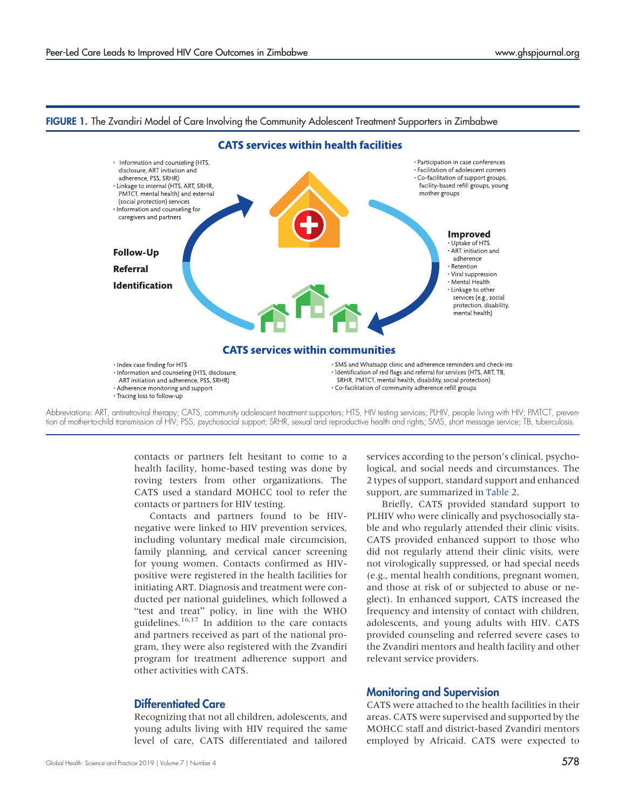

#### <span id="page-3-0"></span>FIGURE 1. The Zvandiri Model of Care Involving the Community Adolescent Treatment Supporters in Zimbabwe



contacts or partners felt hesitant to come to a health facility, home-based testing was done by roving testers from other organizations. The CATS used a standard MOHCC tool to refer the contacts or partners for HIV testing.

Contacts and partners found to be HIVnegative were linked to HIV prevention services, including voluntary medical male circumcision, family planning, and cervical cancer screening for young women. Contacts confirmed as HIVpositive were registered in the health facilities for initiating ART. Diagnosis and treatment were conducted per national guidelines, which followed a "test and treat" policy, in line with the WHO guidelines.[16](#page-9-10)[,17](#page-9-11) In addition to the care contacts and partners received as part of the national program, they were also registered with the Zvandiri program for treatment adherence support and other activities with CATS.

#### Differentiated Care

Recognizing that not all children, adolescents, and young adults living with HIV required the same level of care, CATS differentiated and tailored

services according to the person's clinical, psychological, and social needs and circumstances. The 2 types of support, standard support and enhanced support, are summarized in [Table 2.](#page-4-0)

Briefly, CATS provided standard support to PLHIV who were clinically and psychosocially stable and who regularly attended their clinic visits. CATS provided enhanced support to those who did not regularly attend their clinic visits, were not virologically suppressed, or had special needs (e.g., mental health conditions, pregnant women, and those at risk of or subjected to abuse or neglect). In enhanced support, CATS increased the frequency and intensity of contact with children, adolescents, and young adults with HIV. CATS provided counseling and referred severe cases to the Zvandiri mentors and health facility and other relevant service providers.

#### Monitoring and Supervision

CATS were attached to the health facilities in their areas. CATS were supervised and supported by the MOHCC staff and district-based Zvandiri mentors employed by Africaid. CATS were expected to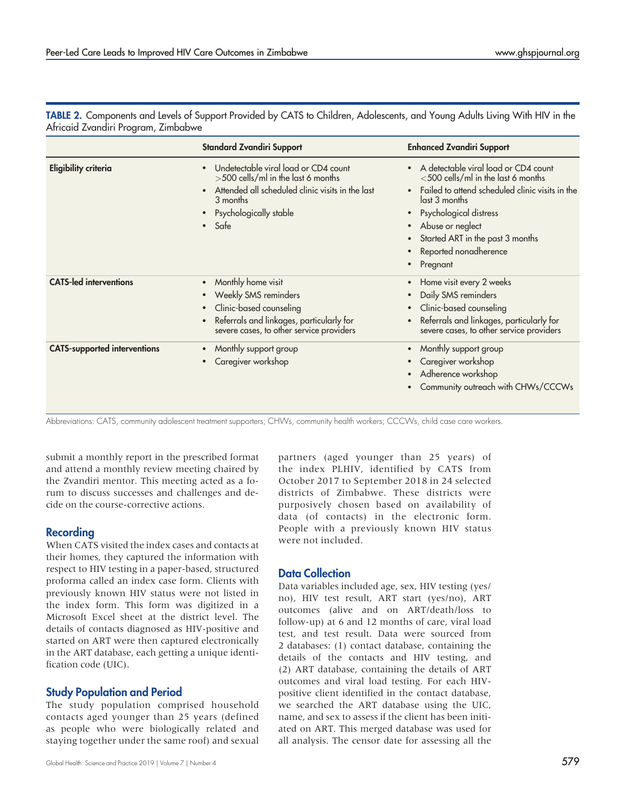|                                     | <b>Standard Zvandiri Support</b>                                                                                                                                                       | <b>Enhanced Zvandiri Support</b>                                                                                                                                                                                                                                                         |
|-------------------------------------|----------------------------------------------------------------------------------------------------------------------------------------------------------------------------------------|------------------------------------------------------------------------------------------------------------------------------------------------------------------------------------------------------------------------------------------------------------------------------------------|
| <b>Eligibility criteria</b>         | Undetectable viral load or CD4 count<br>>500 cells/ml in the last 6 months<br>Attended all scheduled clinic visits in the last<br>3 months<br>Psychologically stable<br>$\bullet$ Safe | • A detectable viral load or CD4 count<br><500 cells/ml in the last 6 months<br>Failed to attend scheduled clinic visits in the<br>last 3 months<br>Psychological distress<br>$\bullet$<br>• Abuse or neglect<br>• Started ART in the past 3 months<br>Reported nonadherence<br>Pregnant |
| <b>CATS-led interventions</b>       | Monthly home visit<br>Weekly SMS reminders<br>Clinic-based counseling<br>Referrals and linkages, particularly for<br>severe cases, to other service providers                          | Home visit every 2 weeks<br>Daily SMS reminders<br>• Clinic-based counseling<br>Referrals and linkages, particularly for<br>severe cases, to other service providers                                                                                                                     |
| <b>CATS-supported interventions</b> | Monthly support group<br>Caregiver workshop                                                                                                                                            | Monthly support group<br>$\bullet$<br>• Caregiver workshop<br>• Adherence workshop<br>Community outreach with CHWs/CCCWs                                                                                                                                                                 |

<span id="page-4-0"></span>TABLE 2. Components and Levels of Support Provided by CATS to Children, Adolescents, and Young Adults Living With HIV in the Africaid Zvandiri Program, Zimbabwe

Abbreviations: CATS, community adolescent treatment supporters; CHWs, community health workers; CCCWs, child case care workers.

submit a monthly report in the prescribed format and attend a monthly review meeting chaired by the Zvandiri mentor. This meeting acted as a forum to discuss successes and challenges and decide on the course-corrective actions.

## Recording

When CATS visited the index cases and contacts at their homes, they captured the information with respect to HIV testing in a paper-based, structured proforma called an index case form. Clients with previously known HIV status were not listed in the index form. This form was digitized in a Microsoft Excel sheet at the district level. The details of contacts diagnosed as HIV-positive and started on ART were then captured electronically in the ART database, each getting a unique identification code (UIC).

## Study Population and Period

The study population comprised household contacts aged younger than 25 years (defined as people who were biologically related and staying together under the same roof) and sexual

Global Health: Science and Practice 2019 | Volume 7 | Number 4  $579$ 

partners (aged younger than 25 years) of the index PLHIV, identified by CATS from October 2017 to September 2018 in 24 selected districts of Zimbabwe. These districts were purposively chosen based on availability of data (of contacts) in the electronic form. People with a previously known HIV status were not included.

## Data Collection

Data variables included age, sex, HIV testing (yes/ no), HIV test result, ART start (yes/no), ART outcomes (alive and on ART/death/loss to follow-up) at 6 and 12 months of care, viral load test, and test result. Data were sourced from 2 databases: (1) contact database, containing the details of the contacts and HIV testing, and (2) ART database, containing the details of ART outcomes and viral load testing. For each HIVpositive client identified in the contact database, we searched the ART database using the UIC, name, and sex to assess if the client has been initiated on ART. This merged database was used for all analysis. The censor date for assessing all the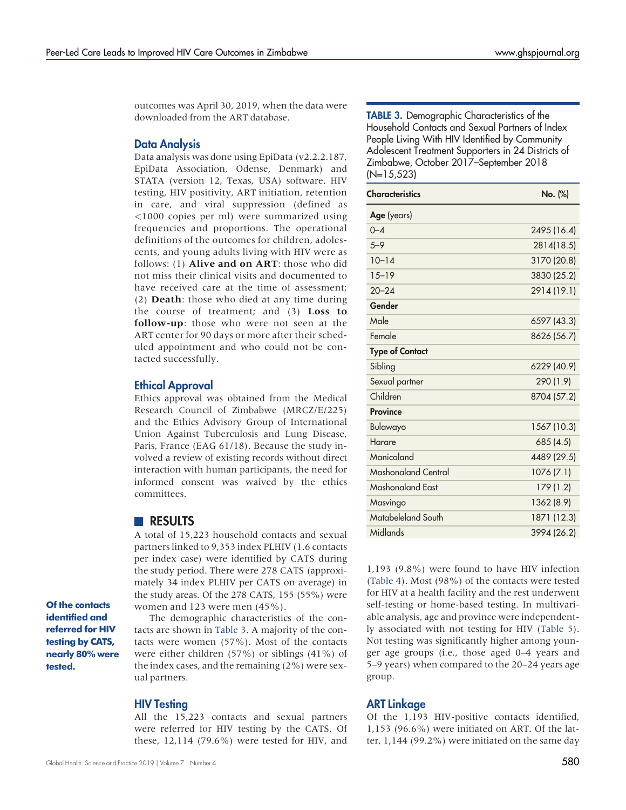outcomes was April 30, 2019, when the data were downloaded from the ART database.

#### Data Analysis

Data analysis was done using EpiData (v2.2.2.187, EpiData Association, Odense, Denmark) and STATA (version 12, Texas, USA) software. HIV testing, HIV positivity, ART initiation, retention in care, and viral suppression (defined as <1000 copies per ml) were summarized using frequencies and proportions. The operational definitions of the outcomes for children, adolescents, and young adults living with HIV were as follows: (1) Alive and on ART: those who did not miss their clinical visits and documented to have received care at the time of assessment; (2) Death: those who died at any time during the course of treatment; and (3) Loss to follow-up: those who were not seen at the ART center for 90 days or more after their scheduled appointment and who could not be contacted successfully.

#### Ethical Approval

Ethics approval was obtained from the Medical Research Council of Zimbabwe (MRCZ/E/225) and the Ethics Advisory Group of International Union Against Tuberculosis and Lung Disease, Paris, France (EAG 61/18). Because the study involved a review of existing records without direct interaction with human participants, the need for informed consent was waived by the ethics committees.

#### **RESULTS**

A total of 15,223 household contacts and sexual partners linked to 9,353 index PLHIV (1.6 contacts per index case) were identified by CATS during the study period. There were 278 CATS (approximately 34 index PLHIV per CATS on average) in the study areas. Of the 278 CATS, 155 (55%) were women and 123 were men (45%).

Of the contacts identified and referred for HIV testing by CATS, nearly 80% were tested.

The demographic characteristics of the contacts are shown in [Table 3.](#page-5-0) A majority of the contacts were women (57%). Most of the contacts were either children (57%) or siblings (41%) of the index cases, and the remaining (2%) were sexual partners.

#### HIV Testing

All the 15,223 contacts and sexual partners were referred for HIV testing by the CATS. Of these, 12,114 (79.6%) were tested for HIV, and <span id="page-5-0"></span>TABLE 3. Demographic Characteristics of the Household Contacts and Sexual Partners of Index People Living With HIV Identified by Community Adolescent Treatment Supporters in 24 Districts of Zimbabwe, October 2017–September 2018 (N=15,523)

| <b>Characteristics</b> | No. (%)     |
|------------------------|-------------|
| Age (years)            |             |
| $0 - 4$                | 2495 (16.4) |
| $5 - 9$                | 2814(18.5)  |
| $10 - 14$              | 3170 (20.8) |
| $15 - 19$              | 3830 (25.2) |
| $20 - 24$              | 2914 (19.1) |
| Gender                 |             |
| Male                   | 6597 (43.3) |
| Female                 | 8626 (56.7) |
| <b>Type of Contact</b> |             |
| Sibling                | 6229 (40.9) |
| Sexual partner         | 290 (1.9)   |
| Children               | 8704 (57.2) |
| <b>Province</b>        |             |
| Bulawayo               | 1567 (10.3) |
| Harare                 | 685 (4.5)   |
| Manicaland             | 4489 (29.5) |
| Mashonaland Central    | 1076(7.1)   |
| Mashonaland Fast       | 179 (1.2)   |
| Masvingo               | 1362 (8.9)  |
| Matabeleland South     | 1871 (12.3) |
| Midlands               | 3994 (26.2) |

1,193 (9.8%) were found to have HIV infection [\(Table 4\)](#page-6-0). Most (98%) of the contacts were tested for HIV at a health facility and the rest underwent self-testing or home-based testing. In multivariable analysis, age and province were independently associated with not testing for HIV [\(Table 5\)](#page-7-0). Not testing was significantly higher among younger age groups (i.e., those aged 0–4 years and 5–9 years) when compared to the 20–24 years age group.

#### ART Linkage

Of the 1,193 HIV-positive contacts identified, 1,153 (96.6%) were initiated on ART. Of the latter, 1,144 (99.2%) were initiated on the same day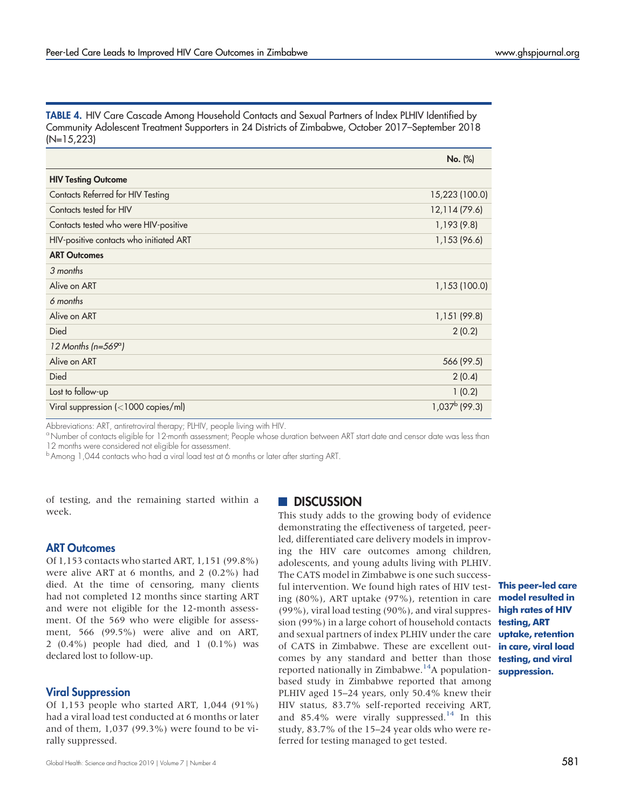<span id="page-6-0"></span>TABLE 4. HIV Care Cascade Among Household Contacts and Sexual Partners of Index PLHIV Identified by Community Adolescent Treatment Supporters in 24 Districts of Zimbabwe, October 2017–September 2018 (N=15,223)

|                                              | No. (%)                |
|----------------------------------------------|------------------------|
| <b>HIV Testing Outcome</b>                   |                        |
| Contacts Referred for HIV Testing            | 15,223 (100.0)         |
| Contacts tested for HIV                      | 12,114 (79.6)          |
| Contacts tested who were HIV-positive        | 1,193(9.8)             |
| HIV-positive contacts who initiated ART      | 1,153 (96.6)           |
| <b>ART Outcomes</b>                          |                        |
| 3 months                                     |                        |
| Alive on ART                                 | 1,153 (100.0)          |
| 6 months                                     |                        |
| Alive on ART                                 | 1,151 (99.8)           |
| Died                                         | 2(0.2)                 |
| 12 Months ( $n=569^{\circ}$ )                |                        |
| Alive on ART                                 | 566 (99.5)             |
| Died                                         | 2(0.4)                 |
| Lost to follow-up                            | 1(0.2)                 |
| Viral suppression $\left($ < 1000 copies/ml) | $1,037^{\rm b}$ (99.3) |

Abbreviations: ART, antiretroviral therapy; PLHIV, people living with HIV.

<sup>a</sup> Number of contacts eligible for 12-month assessment; People whose duration between ART start date and censor date was less than 12 months were considered not eligible for assessment.

<sup>b</sup> Among 1,044 contacts who had a viral load test at 6 months or later after starting ART.

of testing, and the remaining started within a week.

## ART Outcomes

Of 1,153 contacts who started ART, 1,151 (99.8%) were alive ART at 6 months, and 2 (0.2%) had died. At the time of censoring, many clients had not completed 12 months since starting ART and were not eligible for the 12-month assessment. Of the 569 who were eligible for assessment, 566 (99.5%) were alive and on ART, 2 (0.4%) people had died, and 1 (0.1%) was declared lost to follow-up.

## Viral Suppression

Of 1,153 people who started ART, 1,044 (91%) had a viral load test conducted at 6 months or later and of them, 1,037 (99.3%) were found to be virally suppressed.

## **DISCUSSION**

This study adds to the growing body of evidence demonstrating the effectiveness of targeted, peerled, differentiated care delivery models in improving the HIV care outcomes among children, adolescents, and young adults living with PLHIV. The CATS model in Zimbabwe is one such successful intervention. We found high rates of HIV testing (80%), ART uptake (97%), retention in care (99%), viral load testing (90%), and viral suppression (99%) in a large cohort of household contacts **testing, ART** and sexual partners of index PLHIV under the care **uptake, retention** of CATS in Zimbabwe. These are excellent outcomes by any standard and better than those reported nationally in Zimbabwe.<sup>14</sup>A populationbased study in Zimbabwe reported that among PLHIV aged 15–24 years, only 50.4% knew their HIV status, 83.7% self-reported receiving ART, and 85.4% were virally suppressed.<sup>[14](#page-9-8)</sup> In this study, 83.7% of the 15–24 year olds who were referred for testing managed to get tested.

This peer-led care model resulted in high rates of HIV in care, viral load testing, and viral suppression.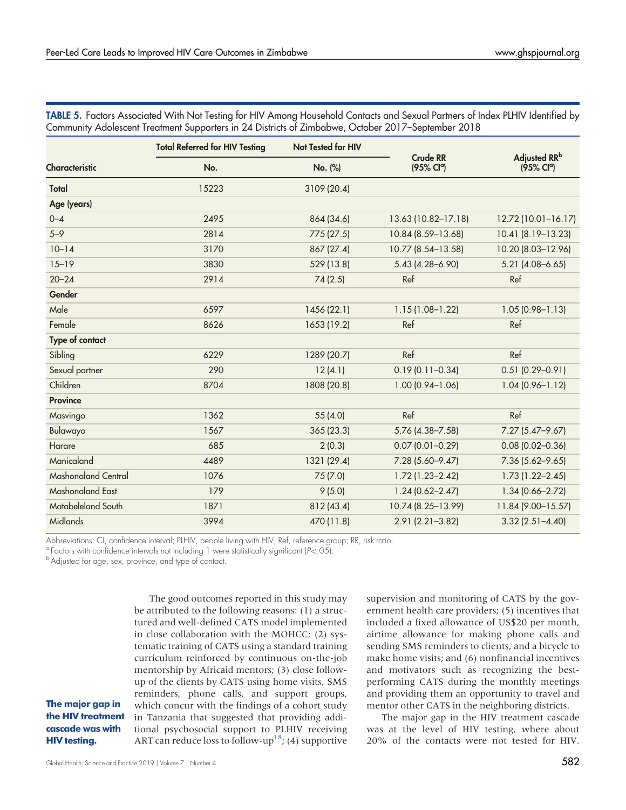|                       | <b>Total Referred for HIV Testing</b> | Not Tested for HIV |                                           |                                        |
|-----------------------|---------------------------------------|--------------------|-------------------------------------------|----------------------------------------|
| <b>Characteristic</b> | No.                                   | No. (%)            | <b>Crude RR</b><br>(95% Cl <sup>a</sup> ) | Adjusted RRb<br>(95% Cl <sup>q</sup> ) |
| Total                 | 15223                                 | 3109 (20.4)        |                                           |                                        |
| Age (years)           |                                       |                    |                                           |                                        |
| $0 - 4$               | 2495                                  | 864 (34.6)         | 13.63 (10.82-17.18)                       | 12.72 (10.01-16.17)                    |
| $5 - 9$               | 2814                                  | 775 (27.5)         | 10.84 (8.59-13.68)                        | 10.41 (8.19–13.23)                     |
| $10 - 14$             | 3170                                  | 867 (27.4)         | 10.77 (8.54-13.58)                        | 10.20 (8.03-12.96)                     |
| $15 - 19$             | 3830                                  | 529 (13.8)         | $5.43(4.28 - 6.90)$                       | $5.21(4.08 - 6.65)$                    |
| $20 - 24$             | 2914                                  | 74(2.5)            | Ref                                       | Ref                                    |
| Gender                |                                       |                    |                                           |                                        |
| Male                  | 6597                                  | 1456 (22.1)        | $1.15(1.08-1.22)$                         | $1.05(0.98 - 1.13)$                    |
| Female                | 8626                                  | 1653 (19.2)        | Ref                                       | Ref                                    |
| Type of contact       |                                       |                    |                                           |                                        |
| Sibling               | 6229                                  | 1289 (20.7)        | Ref                                       | Ref                                    |
| Sexual partner        | 290                                   | 12(4.1)            | $0.19(0.11 - 0.34)$                       | $0.51(0.29 - 0.91)$                    |
| Children              | 8704                                  | 1808 (20.8)        | $1.00(0.94 - 1.06)$                       | $1.04(0.96 - 1.12)$                    |
| <b>Province</b>       |                                       |                    |                                           |                                        |
| Masvingo              | 1362                                  | 55(4.0)            | Ref                                       | Ref                                    |
| Bulawayo              | 1567                                  | 365(23.3)          | 5.76 (4.38-7.58)                          | $7.27(5.47 - 9.67)$                    |
| Harare                | 685                                   | 2(0.3)             | $0.07(0.01 - 0.29)$                       | $0.08(0.02 - 0.36)$                    |
| Manicaland            | 4489                                  | 1321 (29.4)        | 7.28 (5.60-9.47)                          | $7.36(5.62 - 9.65)$                    |
| Mashonaland Central   | 1076                                  | 75(7.0)            | $1.72(1.23 - 2.42)$                       | $1.73(1.22 - 2.45)$                    |
| Mashonaland East      | 179                                   | 9(5.0)             | $1.24(0.62 - 2.47)$                       | $1.34(0.66 - 2.72)$                    |
| Matabeleland South    | 1871                                  | 812 (43.4)         | 10.74 (8.25-13.99)                        | 11.84 (9.00-15.57)                     |
| Midlands              | 3994                                  | 470 (11.8)         | $2.91(2.21 - 3.82)$                       | $3.32(2.51 - 4.40)$                    |

<span id="page-7-0"></span>TABLE 5. Factors Associated With Not Testing for HIV Among Household Contacts and Sexual Partners of Index PLHIV Identified by Community Adolescent Treatment Supporters in 24 Districts of Zimbabwe, October 2017–September 2018

Abbreviations: CI, confidence interval; PLHIV, people living with HIV; Ref, reference group; RR, risk ratio.

<sup>a</sup> Factors with confidence intervals not including 1 were statistically significant ( $P < .05$ ).<br><sup>b</sup> Adjusted for age, sex, province, and type of contact.

The good outcomes reported in this study may be attributed to the following reasons: (1) a structured and well-defined CATS model implemented in close collaboration with the MOHCC; (2) systematic training of CATS using a standard training curriculum reinforced by continuous on-the-job mentorship by Africaid mentors; (3) close followup of the clients by CATS using home visits, SMS reminders, phone calls, and support groups, which concur with the findings of a cohort study in Tanzania that suggested that providing additional psychosocial support to PLHIV receiving ART can reduce loss to follow-up<sup>18</sup>; (4) supportive

The major gap in the HIV treatment cascade was with HIV testing.

supervision and monitoring of CATS by the government health care providers; (5) incentives that included a fixed allowance of US\$20 per month, airtime allowance for making phone calls and sending SMS reminders to clients, and a bicycle to make home visits; and (6) nonfinancial incentives and motivators such as recognizing the bestperforming CATS during the monthly meetings and providing them an opportunity to travel and mentor other CATS in the neighboring districts.

The major gap in the HIV treatment cascade was at the level of HIV testing, where about 20% of the contacts were not tested for HIV.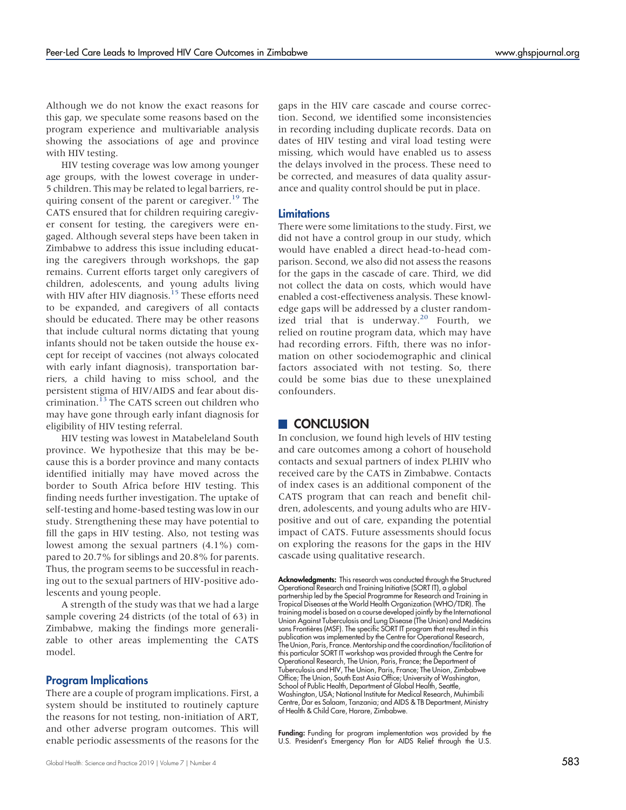Although we do not know the exact reasons for this gap, we speculate some reasons based on the program experience and multivariable analysis showing the associations of age and province with HIV testing.

HIV testing coverage was low among younger age groups, with the lowest coverage in under-5 children. This may be related to legal barriers, re-quiring consent of the parent or caregiver.<sup>[19](#page-9-13)</sup> The CATS ensured that for children requiring caregiver consent for testing, the caregivers were engaged. Although several steps have been taken in Zimbabwe to address this issue including educating the caregivers through workshops, the gap remains. Current efforts target only caregivers of children, adolescents, and young adults living with HIV after HIV diagnosis.<sup>15</sup> These efforts need to be expanded, and caregivers of all contacts should be educated. There may be other reasons that include cultural norms dictating that young infants should not be taken outside the house except for receipt of vaccines (not always colocated with early infant diagnosis), transportation barriers, a child having to miss school, and the persistent stigma of HIV/AIDS and fear about dis-crimination.<sup>[13](#page-9-7)</sup> The CATS screen out children who may have gone through early infant diagnosis for eligibility of HIV testing referral.

HIV testing was lowest in Matabeleland South province. We hypothesize that this may be because this is a border province and many contacts identified initially may have moved across the border to South Africa before HIV testing. This finding needs further investigation. The uptake of self-testing and home-based testing was low in our study. Strengthening these may have potential to fill the gaps in HIV testing. Also, not testing was lowest among the sexual partners (4.1%) compared to 20.7% for siblings and 20.8% for parents. Thus, the program seems to be successful in reaching out to the sexual partners of HIV-positive adolescents and young people.

A strength of the study was that we had a large sample covering 24 districts (of the total of 63) in Zimbabwe, making the findings more generalizable to other areas implementing the CATS model.

#### Program Implications

There are a couple of program implications. First, a system should be instituted to routinely capture the reasons for not testing, non-initiation of ART, and other adverse program outcomes. This will enable periodic assessments of the reasons for the gaps in the HIV care cascade and course correction. Second, we identified some inconsistencies in recording including duplicate records. Data on dates of HIV testing and viral load testing were missing, which would have enabled us to assess the delays involved in the process. These need to be corrected, and measures of data quality assurance and quality control should be put in place.

#### **Limitations**

There were some limitations to the study. First, we did not have a control group in our study, which would have enabled a direct head-to-head comparison. Second, we also did not assess the reasons for the gaps in the cascade of care. Third, we did not collect the data on costs, which would have enabled a cost-effectiveness analysis. These knowledge gaps will be addressed by a cluster random-ized trial that is underway.<sup>[20](#page-9-14)</sup> Fourth, we relied on routine program data, which may have had recording errors. Fifth, there was no information on other sociodemographic and clinical factors associated with not testing. So, there could be some bias due to these unexplained confounders.

#### **CONCLUSION**

In conclusion, we found high levels of HIV testing and care outcomes among a cohort of household contacts and sexual partners of index PLHIV who received care by the CATS in Zimbabwe. Contacts of index cases is an additional component of the CATS program that can reach and benefit children, adolescents, and young adults who are HIVpositive and out of care, expanding the potential impact of CATS. Future assessments should focus on exploring the reasons for the gaps in the HIV cascade using qualitative research.

Funding: Funding for program implementation was provided by the U.S. President's Emergency Plan for AIDS Relief through the U.S.

Acknowledgments: This research was conducted through the Structured Operational Research and Training Initiative (SORT IT), a global partnership led by the Special Programme for Research and Training in Tropical Diseases at the World Health Organization (WHO/TDR). The training model is based on a course developed jointly by the International Union Against Tuberculosis and Lung Disease (The Union) and Medécins sans Frontières (MSF). The specific SORT IT program that resulted in this publication was implemented by the Centre for Operational Research, The Union, Paris, France. Mentorship and the coordination/facilitation of this particular SORT IT workshop was provided through the Centre for Operational Research, The Union, Paris, France; the Department of Tuberculosis and HIV, The Union, Paris, France; The Union, Zimbabwe Office; The Union, South East Asia Office; University of Washington, School of Public Health, Department of Global Health, Seattle, Washington, USA; National Institute for Medical Research, Muhimbili Centre, Dar es Salaam, Tanzania; and AIDS & TB Department, Ministry of Health & Child Care, Harare, Zimbabwe.